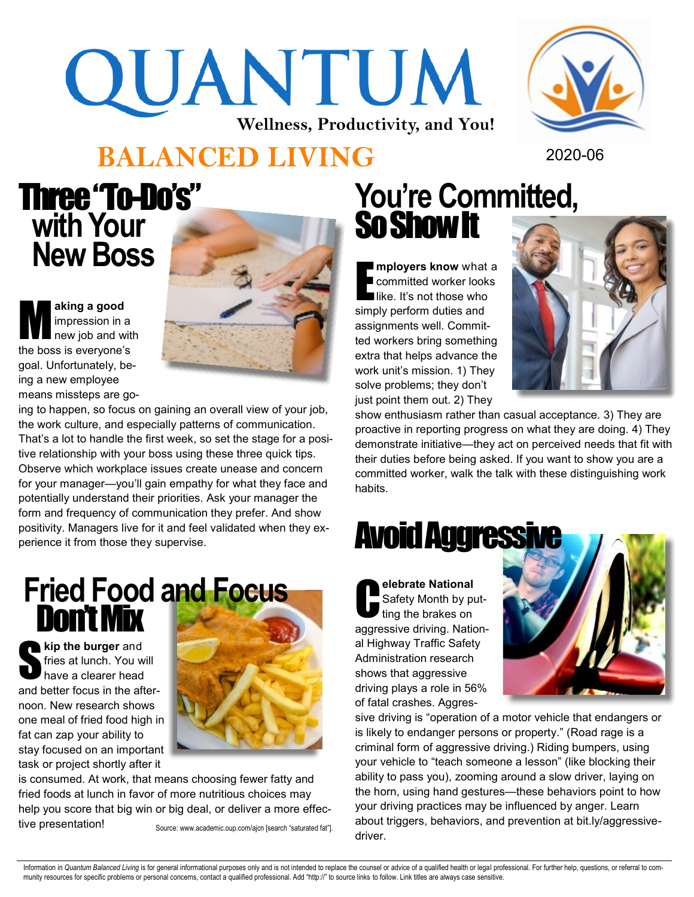# QUANTUM **Wellness, Productivity, and You!**



#### **BALANCED LIVING** 2020-06

# Three "To-Do's"  **with Your New Boss**

M **aking a good**  impression in a new job and with the boss is everyone's goal. Unfortunately, being a new employee means missteps are go-



ing to happen, so focus on gaining an overall view of your job, the work culture, and especially patterns of communication. That's a lot to handle the first week, so set the stage for a positive relationship with your boss using these three quick tips. Observe which workplace issues create unease and concern for your manager—you'll gain empathy for what they face and potentially understand their priorities. Ask your manager the form and frequency of communication they prefer. And show positivity. Managers live for it and feel validated when they experience it from those they supervise.

# **Fried Food and Focus** Don't Mix

S **kip the burger** and fries at lunch. You will have a clearer head and better focus in the afternoon. New research shows one meal of fried food high in fat can zap your ability to stay focused on an important task or project shortly after it



is consumed. At work, that means choosing fewer fatty and fried foods at lunch in favor of more nutritious choices may help you score that big win or big deal, or deliver a more effective presentation!

Source: www.academic.oup.com/ajcn [search "saturated fat"].

# **You're Committed,**  So Show It

**mployers know** what a committed worker looks like. It's not those who simply perform duties and assignments well. Committed workers bring something extra that helps advance the work unit's mission. 1) They solve problems; they don't just point them out. 2) They



show enthusiasm rather than casual acceptance. 3) They are proactive in reporting progress on what they are doing. 4) They demonstrate initiative—they act on perceived needs that fit with their duties before being asked. If you want to show you are a committed worker, walk the talk with these distinguishing work habits.

# Avoid Aggressive

**C elebrate National**  Safety Month by putting the brakes on aggressive driving. National Highway Traffic Safety Administration research shows that aggressive driving plays a role in 56% of fatal crashes. Aggres-



sive driving is "operation of a motor vehicle that endangers or is likely to endanger persons or property." (Road rage is a criminal form of aggressive driving.) Riding bumpers, using your vehicle to "teach someone a lesson" (like blocking their ability to pass you), zooming around a slow driver, laying on the horn, using hand gestures—these behaviors point to how your driving practices may be influenced by anger. Learn about triggers, behaviors, and prevention at bit.ly/aggressivedriver.

Information in Quantum Balanced Living is for general informational purposes only and is not intended to replace the counsel or advice of a qualified health or legal professional. For further help, questions, or referral t munity resources for specific problems or personal concerns, contact a qualified professional. Add "http://" to source links to follow. Link titles are always case sensitive.